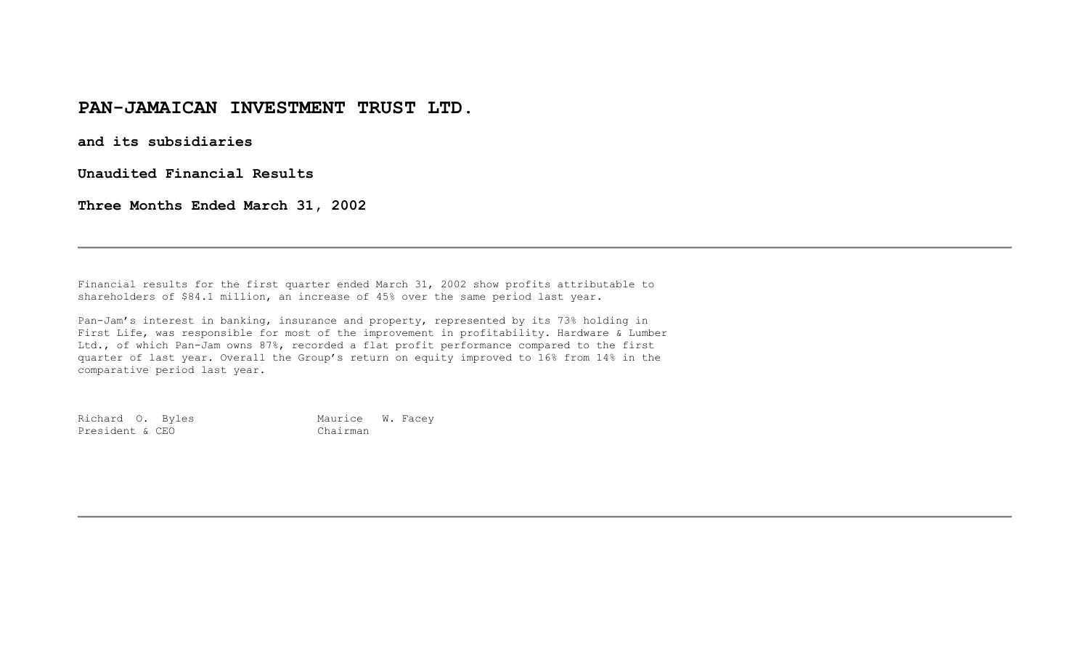## **PAN-JAMAICAN INVESTMENT TRUST LTD.**

**and its subsidiaries** 

**Unaudited Financial Results** 

**Three Months Ended March 31, 2002** 

Financial results for the first quarter ended March 31, 2002 show profits attributable to shareholders of \$84.1 million, an increase of 45% over the same period last year.

Pan-Jam's interest in banking, insurance and property, represented by its 73% holding in First Life, was responsible for most of the improvement in profitability. Hardware & Lumber Ltd., of which Pan-Jam owns 87%, recorded a flat profit performance compared to the first quarter of last year. Overall the Group's return on equity improved to 16% from 14% in the comparative period last year.

Richard O. Byles Maurice W. Facey President & CEO Chairman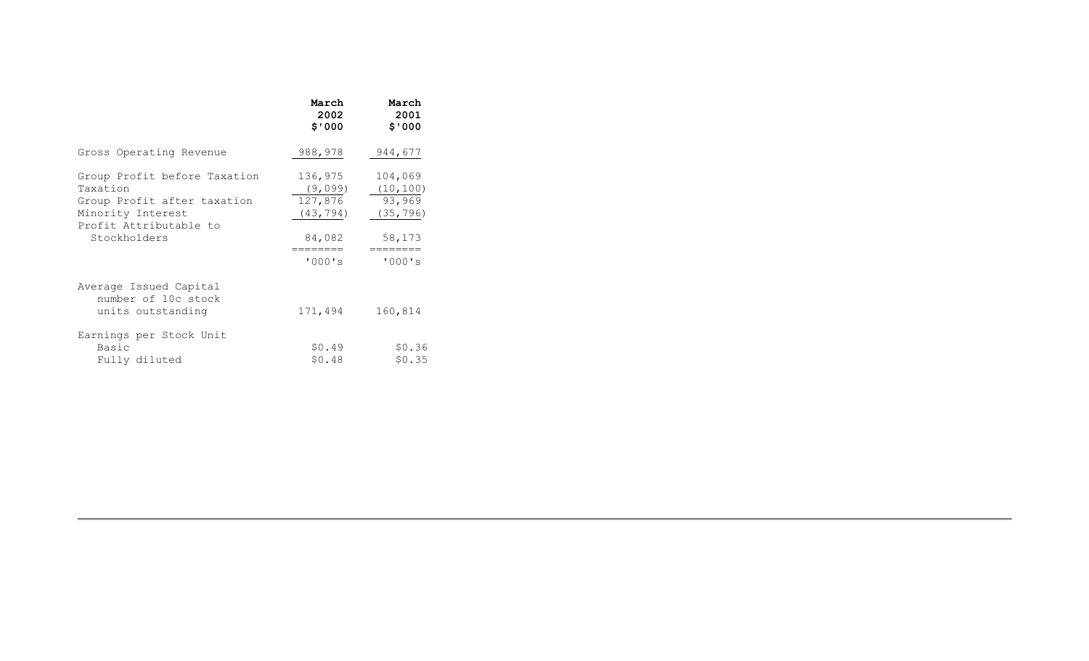|                                                                                                                                        | March<br>2002<br>\$'000                                                    | March<br>2001<br>\$'000                                                     |
|----------------------------------------------------------------------------------------------------------------------------------------|----------------------------------------------------------------------------|-----------------------------------------------------------------------------|
| Gross Operating Revenue                                                                                                                | 988,978                                                                    | 944,677                                                                     |
| Group Profit before Taxation<br>Taxation<br>Group Profit after taxation<br>Minority Interest<br>Profit Attributable to<br>Stockholders | 136,975<br>(9,099)<br>127,876<br>(43, 794)<br>84,082<br>========<br>'000's | 104,069<br>(10, 100)<br>93,969<br>(35, 796)<br>58,173<br>========<br>'000's |
| Average Issued Capital<br>number of 10c stock<br>units outstanding                                                                     | 171,494                                                                    | 160,814                                                                     |
| Earnings per Stock Unit<br><b>Basic</b><br>Fully diluted                                                                               | \$0.49<br>\$0.48                                                           | \$0.36<br>\$0.35                                                            |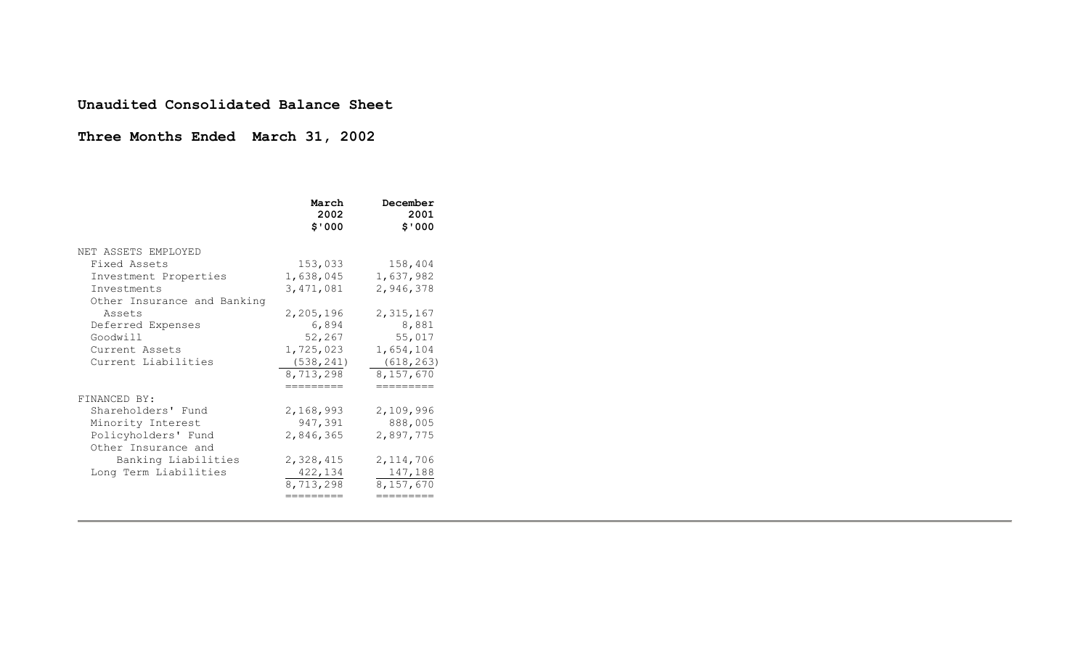#### **Unaudited Consolidated Balance Sheet**

# **Three Months Ended March 31, 2002**

|                                                                                                                                                                                                | March<br>2002<br>\$'000                                                                                              | December<br>2001<br>\$'000                                                                                |
|------------------------------------------------------------------------------------------------------------------------------------------------------------------------------------------------|----------------------------------------------------------------------------------------------------------------------|-----------------------------------------------------------------------------------------------------------|
| NET ASSETS EMPLOYED<br>Fixed Assets<br>Investment Properties<br>Investments<br>Other Insurance and Banking<br>Assets<br>Deferred Expenses<br>Goodwill<br>Current Assets<br>Current Liabilities | 153,033<br>1,638,045<br>3,471,081<br>2,205,196<br>6,894<br>52,267<br>1,725,023<br>(538, 241)<br>8,713,298<br>======= | 158,404<br>1,637,982<br>2,946,378<br>2,315,167<br>8,881<br>55,017<br>1,654,104<br>(618, 263)<br>8,157,670 |
| FINANCED BY:<br>Shareholders' Fund<br>Minority Interest<br>Policyholders' Fund<br>Other Insurance and<br>Banking Liabilities<br>Long Term Liabilities                                          | 2,168,993<br>947,391<br>2,846,365<br>2,328,415<br>422,134<br>8,713,298<br>========                                   | 2,109,996<br>888,005<br>2,897,775<br>2, 114, 706<br>147,188<br>8,157,670<br>=========                     |